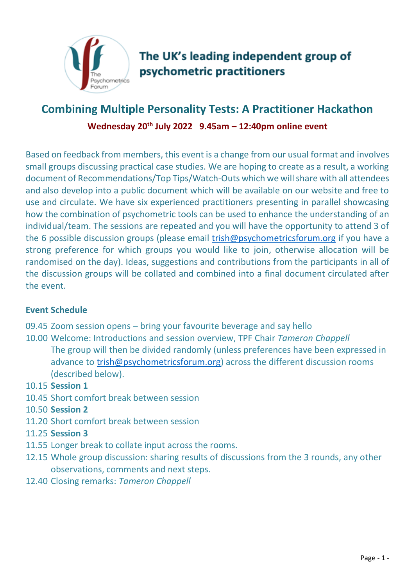

# **Combining Multiple Personality Tests: A Practitioner Hackathon Wednesday 20th July 2022 9.45am – 12:40pm online event**

Based on feedback from members, this event is a change from our usual format and involves small groups discussing practical case studies. We are hoping to create as a result, a working document of Recommendations/Top Tips/Watch-Outs which we will share with all attendees and also develop into a public document which will be available on our website and free to use and circulate. We have six experienced practitioners presenting in parallel showcasing how the combination of psychometric tools can be used to enhance the understanding of an individual/team. The sessions are repeated and you will have the opportunity to attend 3 of the 6 possible discussion groups (please email [trish@psychometricsforum.org](mailto:trish@psychometricsforum.org) if you have a strong preference for which groups you would like to join, otherwise allocation will be randomised on the day). Ideas, suggestions and contributions from the participants in all of the discussion groups will be collated and combined into a final document circulated after the event.

# **Event Schedule**

- 09.45 Zoom session opens bring your favourite beverage and say hello
- 10.00 Welcome: Introductions and session overview, TPF Chair *Tameron Chappell* The group will then be divided randomly (unless preferences have been expressed in advance to [trish@psychometricsforum.org\)](mailto:trish@psychometricsforum.org) across the different discussion rooms (described below).
- 10.15 **Session 1**
- 10.45 Short comfort break between session
- 10.50 **Session 2**
- 11.20 Short comfort break between session
- 11.25 **Session 3**
- 11.55 Longer break to collate input across the rooms.
- 12.15 Whole group discussion: sharing results of discussions from the 3 rounds, any other observations, comments and next steps.
- 12.40 Closing remarks: *Tameron Chappell*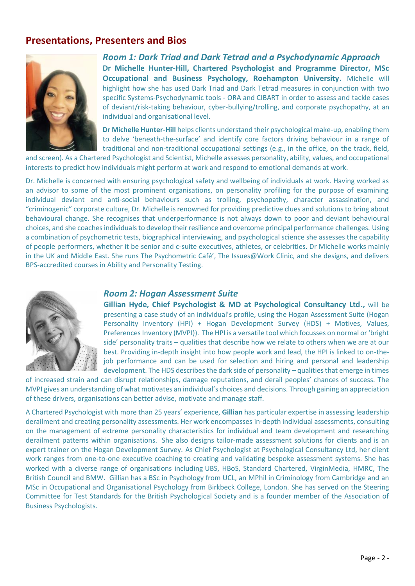## **Presentations, Presenters and Bios**



*Room 1: Dark Triad and Dark Tetrad and a Psychodynamic Approach* **Dr Michelle Hunter-Hill, Chartered Psychologist and Programme Director, MSc Occupational and Business Psychology, Roehampton University.** Michelle will highlight how she has used Dark Triad and Dark Tetrad measures in conjunction with two specific Systems-Psychodynamic tools - ORA and CIBART in order to assess and tackle cases of deviant/risk-taking behaviour, cyber-bullying/trolling, and corporate psychopathy, at an individual and organisational level.

**Dr Michelle Hunter-Hill** helps clients understand their psychological make-up, enabling them to delve 'beneath-the-surface' and identify core factors driving behaviour in a range of traditional and non-traditional occupational settings (e.g., in the office, on the track, field,

and screen). As a Chartered Psychologist and Scientist, Michelle assesses personality, ability, values, and occupational interests to predict how individuals might perform at work and respond to emotional demands at work.

Dr. Michelle is concerned with ensuring psychological safety and wellbeing of individuals at work. Having worked as an advisor to some of the most prominent organisations, on personality profiling for the purpose of examining individual deviant and anti-social behaviours such as trolling, psychopathy, character assassination, and "criminogenic" corporate culture, Dr. Michelle is renowned for providing predictive clues and solutions to bring about behavioural change. She recognises that underperformance is not always down to poor and deviant behavioural choices, and she coaches individuals to develop their resilience and overcome principal performance challenges. Using a combination of psychometric tests, biographical interviewing, and psychological science she assesses the capability of people performers, whether it be senior and c-suite executives, athletes, or celebrities. Dr Michelle works mainly in the UK and Middle East. She runs The Psychometric Café', The Issues@Work Clinic, and she designs, and delivers BPS-accredited courses in Ability and Personality Testing.



#### *Room 2: Hogan Assessment Suite*

**Gillian Hyde, Chief Psychologist & MD at Psychological Consultancy Ltd.,** will be presenting a case study of an individual's profile, using the Hogan Assessment Suite (Hogan Personality Inventory (HPI) + Hogan Development Survey (HDS) + Motives, Values, Preferences Inventory (MVPI)). The HPI is a versatile tool which focusses on normal or 'bright side' personality traits – qualities that describe how we relate to others when we are at our best. Providing in-depth insight into how people work and lead, the HPI is linked to on-thejob performance and can be used for selection and hiring and personal and leadership development. The HDS describes the dark side of personality – qualities that emerge in times

of increased strain and can disrupt relationships, damage reputations, and derail peoples' chances of success. The MVPI gives an understanding of what motivates an individual's choices and decisions. Through gaining an appreciation of these drivers, organisations can better advise, motivate and manage staff.

A Chartered Psychologist with more than 25 years' experience, **Gillian** has particular expertise in assessing leadership derailment and creating personality assessments. Her work encompasses in-depth individual assessments, consulting on the management of extreme personality characteristics for individual and team development and researching derailment patterns within organisations. She also designs tailor-made assessment solutions for clients and is an expert trainer on the Hogan Development Survey. As Chief Psychologist at Psychological Consultancy Ltd, her client work ranges from one-to-one executive coaching to creating and validating bespoke assessment systems. She has worked with a diverse range of organisations including UBS, HBoS, Standard Chartered, VirginMedia, HMRC, The British Council and BMW. Gillian has a BSc in Psychology from UCL, an MPhil in Criminology from Cambridge and an MSc in Occupational and Organisational Psychology from Birkbeck College, London. She has served on the Steering Committee for Test Standards for the British Psychological Society and is a founder member of the Association of Business Psychologists.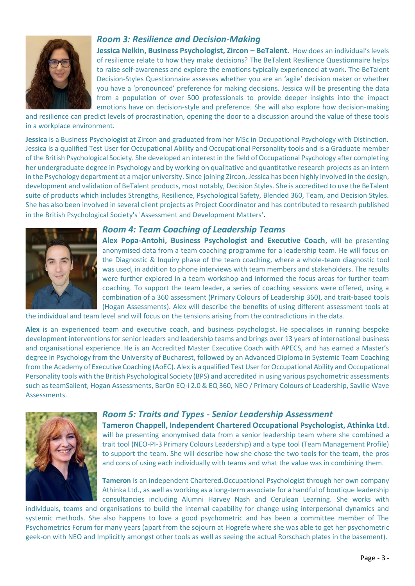

#### *Room 3: Resilience and Decision-Making*

**Jessica Nelkin, Business Psychologist, Zircon – BeTalent.** How does an individual's levels of resilience relate to how they make decisions? The BeTalent Resilience Questionnaire helps to raise self-awareness and explore the emotions typically experienced at work. The BeTalent Decision-Styles Questionnaire assesses whether you are an 'agile' decision maker or whether you have a 'pronounced' preference for making decisions. Jessica will be presenting the data from a population of over 500 professionals to provide deeper insights into the impact emotions have on decision-style and preference. She will also explore how decision-making

and resilience can predict levels of procrastination, opening the door to a discussion around the value of these tools in a workplace environment.

**Jessica** is a Business Psychologist at Zircon and graduated from her MSc in Occupational Psychology with Distinction. Jessica is a qualified Test User for Occupational Ability and Occupational Personality tools and is a Graduate member of the British Psychological Society. She developed an interest in the field of Occupational Psychology after completing her undergraduate degree in Psychology and by working on qualitative and quantitative research projects as an intern in the Psychology department at a major university. Since joining Zircon, Jessica has been highly involved in the design, development and validation of BeTalent products, most notably, Decision Styles. She is accredited to use the BeTalent suite of products which includes Strengths, Resilience, Psychological Safety, Blended 360, Team, and Decision Styles. She has also been involved in several client projects as Project Coordinator and has contributed to research published in the British Psychological Society's 'Assessment and Development Matters'.



## *Room 4: Team Coaching of Leadership Teams*

**Alex Popa-Antohi, Business Psychologist and Executive Coach,** will be presenting anonymised data from a team coaching programme for a leadership team. He will focus on the Diagnostic & Inquiry phase of the team coaching, where a whole-team diagnostic tool was used, in addition to phone interviews with team members and stakeholders. The results were further explored in a team workshop and informed the focus areas for further team coaching. To support the team leader, a series of coaching sessions were offered, using a combination of a 360 assessment (Primary Colours of Leadership 360), and trait-based tools (Hogan Assessments). Alex will describe the benefits of using different assessment tools at

the individual and team level and will focus on the tensions arising from the contradictions in the data.

**Alex** is an experienced team and executive coach, and business psychologist. He specialises in running bespoke development interventions for senior leaders and leadership teams and brings over 13 years of international business and organisational experience. He is an Accredited Master Executive Coach with APECS, and has earned a Master's degree in Psychology from the University of Bucharest, followed by an Advanced Diploma in Systemic Team Coaching from the Academy of Executive Coaching (AoEC). Alex is a qualified Test User for Occupational Ability and Occupational Personality tools with the British Psychological Society (BPS) and accredited in using various psychometric assessments such as teamSalient, Hogan Assessments, BarOn EQ-i 2.0 & EQ 360, NEO / Primary Colours of Leadership, Saville Wave Assessments.



#### *Room 5: Traits and Types - Senior Leadership Assessment*

**Tameron Chappell, Independent Chartered Occupational Psychologist, Athinka Ltd.** will be presenting anonymised data from a senior leadership team where she combined a trait tool (NEO-PI-3 Primary Colours Leadership) and a type tool (Team Management Profile) to support the team. She will describe how she chose the two tools for the team, the pros and cons of using each individually with teams and what the value was in combining them.

**Tameron** is an independent Chartered.Occupational Psychologist through her own company Athinka Ltd., as well as working as a long-term associate for a handful of boutique leadership consultancies including Alumni Harvey Nash and Cerulean Learning. She works with

individuals, teams and organisations to build the internal capability for change using interpersonal dynamics and systemic methods. She also happens to love a good psychometric and has been a committee member of The Psychometrics Forum for many years (apart from the sojourn at Hogrefe where she was able to get her psychometric geek-on with NEO and Implicitly amongst other tools as well as seeing the actual Rorschach plates in the basement).